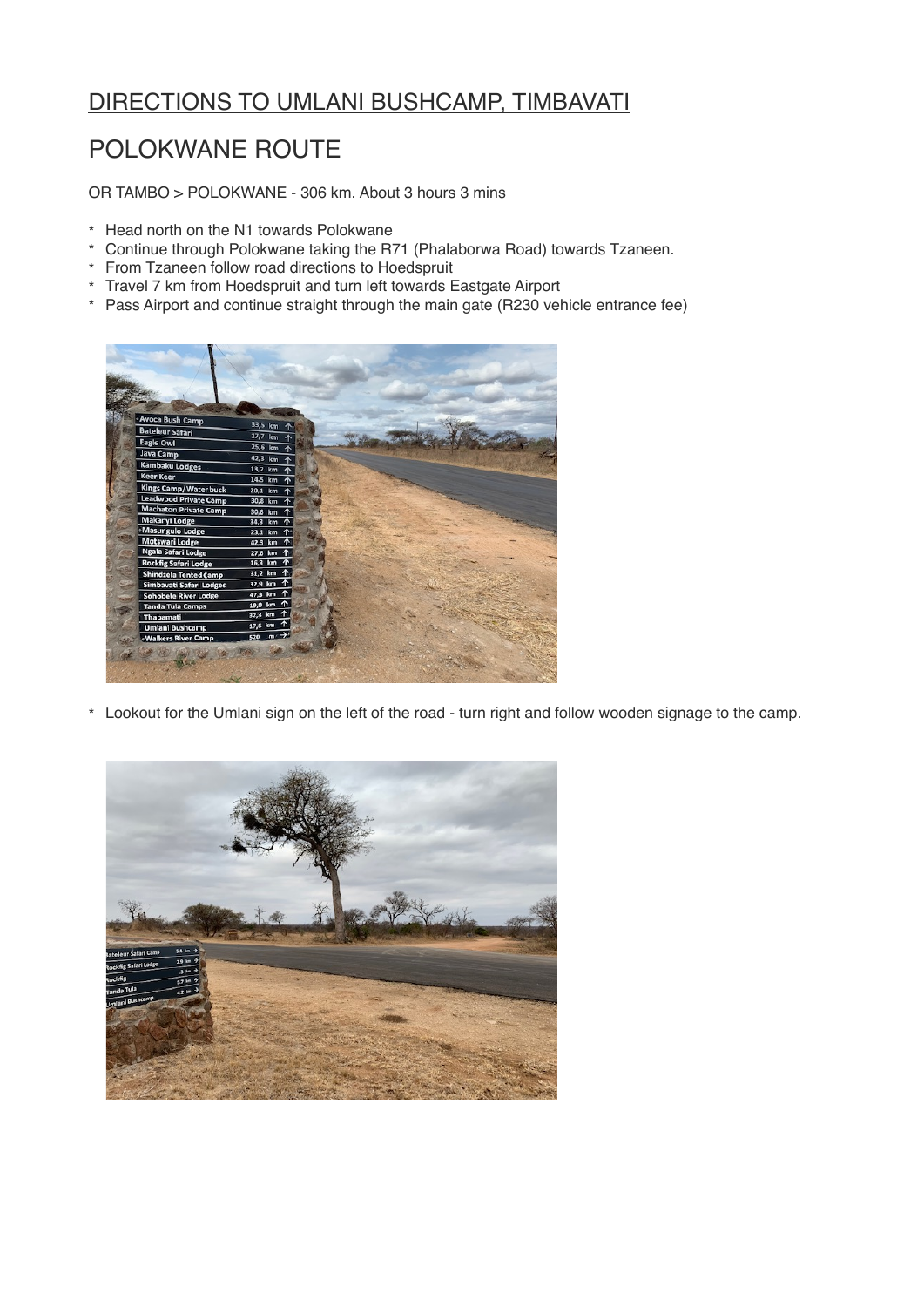# DIRECTIONS TO UMLANI BUSHCAMP, TIMBAVATI

# POLOKWANE ROUTE

OR TAMBO > POLOKWANE - 306 km. About 3 hours 3 mins

- \* Head north on the N1 towards Polokwane
- \* Continue through Polokwane taking the R71 (Phalaborwa Road) towards Tzaneen.
- \* From Tzaneen follow road directions to Hoedspruit
- \* Travel 7 km from Hoedspruit and turn left towards Eastgate Airport
- \* Pass Airport and continue straight through the main gate (R230 vehicle entrance fee)



\* Lookout for the Umlani sign on the left of the road - turn right and follow wooden signage to the camp.

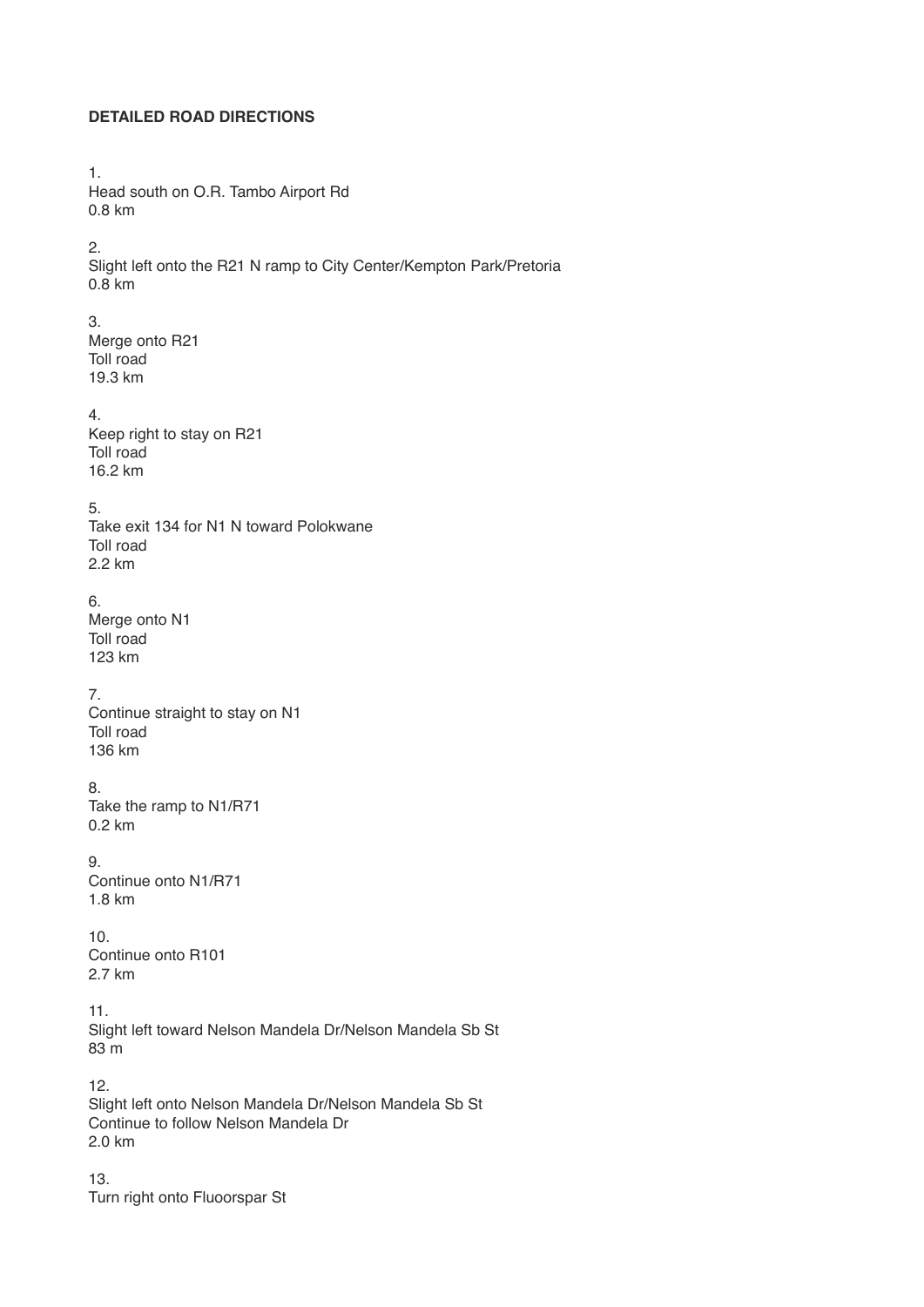## **DETAILED ROAD DIRECTIONS**

1. Head south on O.R. Tambo Airport Rd 0.8 km

2.

Slight left onto the R21 N ramp to City Center/Kempton Park/Pretoria 0.8 km

#### 3.

Merge onto R21 Toll road 19.3 km

#### 4.

Keep right to stay on R21 Toll road 16.2 km

## 5.

Take exit 134 for N1 N toward Polokwane Toll road 2.2 km

## 6.

Merge onto N1 Toll road 123 km

#### 7.

Continue straight to stay on N1 Toll road 136 km

# 8.

Take the ramp to N1/R71 0.2 km

#### 9.

Continue onto N1/R71 1.8 km

#### 10.

Continue onto R101 2.7 km

# 11.

Slight left toward Nelson Mandela Dr/Nelson Mandela Sb St 83 m

12. Slight left onto Nelson Mandela Dr/Nelson Mandela Sb St Continue to follow Nelson Mandela Dr 2.0 km

13. Turn right onto Fluoorspar St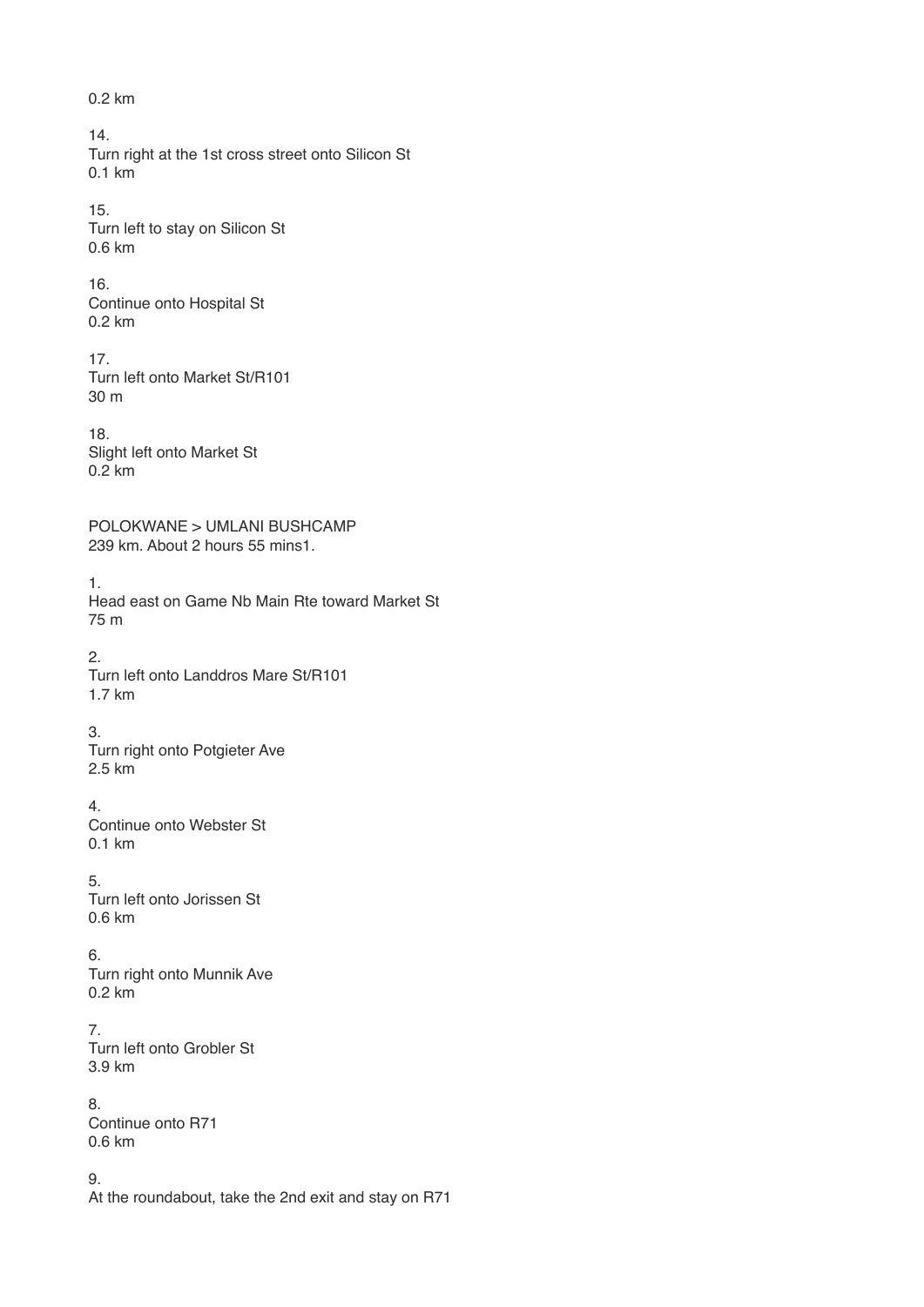0.2 km 14. Turn right at the 1st cross street onto Silicon St 0.1 km 15. Turn left to stay on Silicon St 0.6 km 16. Continue onto Hospital St 0.2 km 17. Turn left onto Market St/R101 30 m 18. Slight left onto Market St  $0.2$  km POLOKWANE > UMLANI BUSHCAMP 239 km. About 2 hours 55 mins1. 1. Head east on Game Nb Main Rte toward Market St 75 m 2. Turn left onto Landdros Mare St/R101 1.7 km 3. Turn right onto Potgieter Ave 2.5 km 4. Continue onto Webster St 0.1 km 5. Turn left onto Jorissen St 0.6 km 6. Turn right onto Munnik Ave 0.2 km 7. Turn left onto Grobler St 3.9 km 8. Continue onto R71 0.6 km 9. At the roundabout, take the 2nd exit and stay on R71